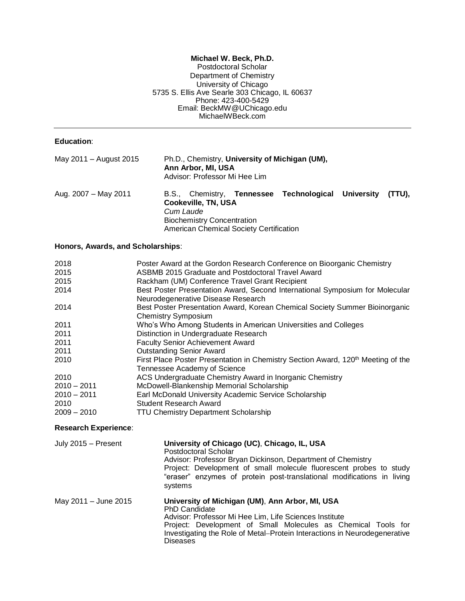## **Michael W. Beck, Ph.D.**

#### Postdoctoral Scholar Department of Chemistry University of Chicago 5735 S. Ellis Ave Searle 303 Chicago, IL 60637 Phone: 423-400-5429 Email: BeckMW@UChicago.edu MichaelWBeck.com

#### **Education**:

| May 2011 - August 2015 | Ph.D., Chemistry, University of Michigan (UM),<br>Ann Arbor, MI, USA<br>Advisor: Professor Mi Hee Lim                                                                   |        |
|------------------------|-------------------------------------------------------------------------------------------------------------------------------------------------------------------------|--------|
| Aug. 2007 - May 2011   | B.S., Chemistry, Tennessee Technological University<br>Cookeville, TN, USA<br>Cum Laude<br><b>Biochemistry Concentration</b><br>American Chemical Society Certification | (TTU). |

### **Honors, Awards, and Scholarships**:

| 2018<br>2015<br>2015 | Poster Award at the Gordon Research Conference on Bioorganic Chemistry<br>ASBMB 2015 Graduate and Postdoctoral Travel Award<br>Rackham (UM) Conference Travel Grant Recipient |
|----------------------|-------------------------------------------------------------------------------------------------------------------------------------------------------------------------------|
| 2014                 | Best Poster Presentation Award, Second International Symposium for Molecular<br>Neurodegenerative Disease Research                                                            |
| 2014                 | Best Poster Presentation Award, Korean Chemical Society Summer Bioinorganic<br><b>Chemistry Symposium</b>                                                                     |
| 2011                 | Who's Who Among Students in American Universities and Colleges                                                                                                                |
| 2011                 | Distinction in Undergraduate Research                                                                                                                                         |
| 2011                 | <b>Faculty Senior Achievement Award</b>                                                                                                                                       |
| 2011                 | <b>Outstanding Senior Award</b>                                                                                                                                               |
| 2010                 | First Place Poster Presentation in Chemistry Section Award, 120 <sup>th</sup> Meeting of the<br>Tennessee Academy of Science                                                  |
| 2010                 | ACS Undergraduate Chemistry Award in Inorganic Chemistry                                                                                                                      |
| $2010 - 2011$        | McDowell-Blankenship Memorial Scholarship                                                                                                                                     |
| $2010 - 2011$        | Earl McDonald University Academic Service Scholarship                                                                                                                         |
| 2010                 | <b>Student Research Award</b>                                                                                                                                                 |
| $2009 - 2010$        | <b>TTU Chemistry Department Scholarship</b>                                                                                                                                   |

# **Research Experience**:

| July 2015 - Present  | University of Chicago (UC), Chicago, IL, USA<br>Postdoctoral Scholar<br>Advisor: Professor Bryan Dickinson, Department of Chemistry<br>Project: Development of small molecule fluorescent probes to study<br>"eraser" enzymes of protein post-translational modifications in living<br>systems |
|----------------------|------------------------------------------------------------------------------------------------------------------------------------------------------------------------------------------------------------------------------------------------------------------------------------------------|
| May 2011 - June 2015 | University of Michigan (UM), Ann Arbor, MI, USA<br><b>PhD Candidate</b><br>Advisor: Professor Mi Hee Lim, Life Sciences Institute<br>Project: Development of Small Molecules as Chemical Tools for<br>Investigating the Role of Metal–Protein Interactions in Neurodegenerative<br>Diseases    |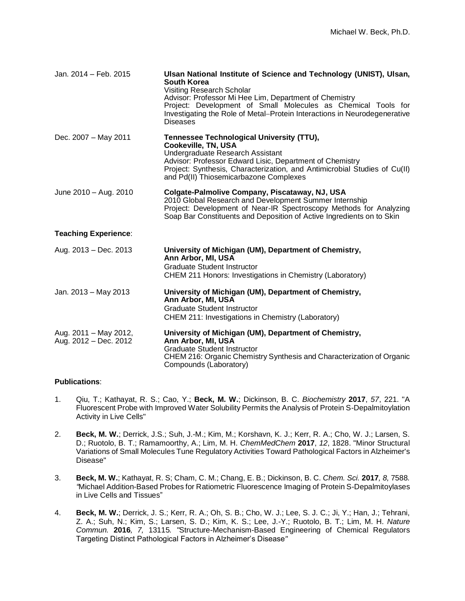| Jan. 2014 - Feb. 2015                          | Ulsan National Institute of Science and Technology (UNIST), Ulsan,<br>South Korea<br><b>Visiting Research Scholar</b><br>Advisor: Professor Mi Hee Lim, Department of Chemistry<br>Project: Development of Small Molecules as Chemical Tools for<br>Investigating the Role of Metal-Protein Interactions in Neurodegenerative<br><b>Diseases</b> |
|------------------------------------------------|--------------------------------------------------------------------------------------------------------------------------------------------------------------------------------------------------------------------------------------------------------------------------------------------------------------------------------------------------|
| Dec. 2007 - May 2011                           | <b>Tennessee Technological University (TTU),</b><br>Cookeville, TN, USA<br>Undergraduate Research Assistant<br>Advisor: Professor Edward Lisic, Department of Chemistry<br>Project: Synthesis, Characterization, and Antimicrobial Studies of Cu(II)<br>and Pd(II) Thiosemicarbazone Complexes                                                   |
| June 2010 - Aug. 2010                          | Colgate-Palmolive Company, Piscataway, NJ, USA<br>2010 Global Research and Development Summer Internship<br>Project: Development of Near-IR Spectroscopy Methods for Analyzing<br>Soap Bar Constituents and Deposition of Active Ingredients on to Skin                                                                                          |
| <b>Teaching Experience:</b>                    |                                                                                                                                                                                                                                                                                                                                                  |
| Aug. 2013 - Dec. 2013                          | University of Michigan (UM), Department of Chemistry,<br>Ann Arbor, MI, USA<br><b>Graduate Student Instructor</b><br>CHEM 211 Honors: Investigations in Chemistry (Laboratory)                                                                                                                                                                   |
| Jan. 2013 - May 2013                           | University of Michigan (UM), Department of Chemistry,<br>Ann Arbor, MI, USA<br><b>Graduate Student Instructor</b><br>CHEM 211: Investigations in Chemistry (Laboratory)                                                                                                                                                                          |
| Aug. 2011 - May 2012,<br>Aug. 2012 - Dec. 2012 | University of Michigan (UM), Department of Chemistry,<br>Ann Arbor, MI, USA<br><b>Graduate Student Instructor</b><br>CHEM 216: Organic Chemistry Synthesis and Characterization of Organic<br>Compounds (Laboratory)                                                                                                                             |

## **Publications**:

- 1. Qiu, T.; Kathayat, R. S.; Cao, Y.; **Beck, M. W.**; Dickinson, B. C. *Biochemistry* **2017**, *57*, 221. "A Fluorescent Probe with Improved Water Solubility Permits the Analysis of Protein S-Depalmitoylation Activity in Live Cells"
- 2. **Beck, M. W.**; Derrick, J.S.; Suh, J.-M.; Kim, M.; Korshavn, K. J.; Kerr, R. A.; Cho, W. J.; Larsen, S. D.; Ruotolo, B. T.; Ramamoorthy, A.; Lim, M. H. *ChemMedChem* **2017**, *12*, 1828. "Minor Structural Variations of Small Molecules Tune Regulatory Activities Toward Pathological Factors in Alzheimer's Disease"
- 3. **Beck, M. W.**; Kathayat, R. S; Cham, C. M.; Chang, E. B.; Dickinson, B. C. *Chem. Sci.* **2017***, 8,* 7588*. "*Michael Addition-Based Probes for Ratiometric Fluorescence Imaging of Protein S-Depalmitoylases in Live Cells and Tissues"
- 4. **Beck, M. W.**; Derrick, J. S.; Kerr, R. A.; Oh, S. B.; Cho, W. J.; Lee, S. J. C.; Ji, Y.; Han, J.; Tehrani, Z. A.; Suh, N.; Kim, S.; Larsen, S. D.; Kim, K. S.; Lee, J.-Y.; Ruotolo, B. T.; Lim, M. H. *Nature Commun.* **2016***, 7,* 13115*. "*Structure-Mechanism-Based Engineering of Chemical Regulators Targeting Distinct Pathological Factors in Alzheimer's Disease*"*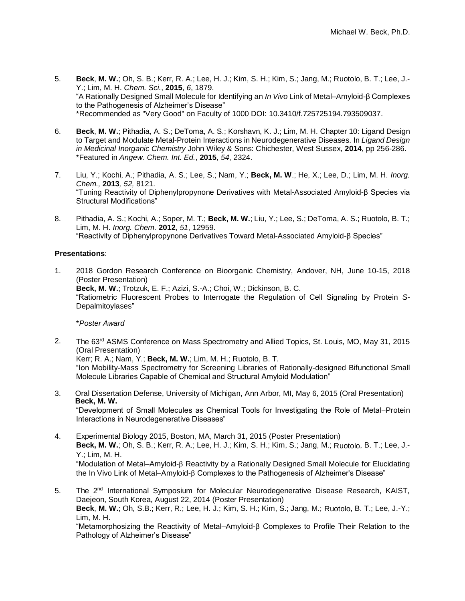- 5. **Beck**, **M. W.**; Oh, S. B.; Kerr, R. A.; Lee, H. J.; Kim, S. H.; Kim, S.; Jang, M.; Ruotolo, B. T.; Lee, J.- Y.; Lim, M. H. *Chem. Sci.*, **2015**, *6*, 1879. "A Rationally Designed Small Molecule for Identifying an *In Vivo* Link of Metal–Amyloid-β Complexes to the Pathogenesis of Alzheimer's Disease" \*Recommended as "Very Good" on Faculty of 1000 DOI: 10.3410/f.725725194.793509037.
- 6. **Beck**, **M. W.**; Pithadia, A. S.; DeToma, A. S.; Korshavn, K. J.; Lim, M. H. Chapter 10: Ligand Design to Target and Modulate Metal-Protein Interactions in Neurodegenerative Diseases. In *Ligand Design in Medicinal Inorganic Chemistry* John Wiley & Sons: Chichester, West Sussex, **2014**, pp 256-286. \*Featured in *Angew. Chem. Int. Ed.*, **2015**, *54*, 2324.
- 7. Liu, Y.; Kochi, A.; Pithadia, A. S.; Lee, S.; Nam, Y.; **Beck, M. W**.; He, X.; Lee, D.; Lim, M. H. *Inorg. Chem.,* **2013***, 52,* 8121. "Tuning Reactivity of Diphenylpropynone Derivatives with Metal-Associated Amyloid-β Species via Structural Modifications"
- 8. Pithadia, A. S.; Kochi, A.; Soper, M. T.; **Beck, M. W.**; Liu, Y.; Lee, S.; DeToma, A. S.; Ruotolo, B. T.; Lim, M. H. *Inorg. Chem.* **2012**, *51*, 12959. "Reactivity of Diphenylpropynone Derivatives Toward Metal-Associated Amyloid-β Species"

## **Presentations**:

1. 2018 Gordon Research Conference on Bioorganic Chemistry, Andover, NH, June 10-15, 2018 (Poster Presentation) **Beck, M. W.**; Trotzuk, E. F.; Azizi, S.-A.; Choi, W.; Dickinson, B. C. "Ratiometric Fluorescent Probes to Interrogate the Regulation of Cell Signaling by Protein *S*-Depalmitoylases"

## \**Poster Award*

2. The 63<sup>rd</sup> ASMS Conference on Mass Spectrometry and Allied Topics, St. Louis, MO, May 31, 2015 (Oral Presentation) Kerr; R. A.; Nam, Y.; **Beck, M. W.**; Lim, M. H.; Ruotolo, B. T. "Ion Mobility-Mass Spectrometry for Screening Libraries of Rationally-designed Bifunctional Small

Molecule Libraries Capable of Chemical and Structural Amyloid Modulation"

3. Oral Dissertation Defense, University of Michigan, Ann Arbor, MI, May 6, 2015 (Oral Presentation) **Beck, M. W.**

"Development of Small Molecules as Chemical Tools for Investigating the Role of Metal−Protein Interactions in Neurodegenerative Diseases"

- 4. Experimental Biology 2015, Boston, MA, March 31, 2015 (Poster Presentation) **Beck, M. W.**; Oh, S. B.; Kerr, R. A.; Lee, H. J.; Kim, S. H.; Kim, S.; Jang, M.; Ruotolo, B. T.; Lee, J.- Y.; Lim, M. H. "Modulation of Metal–Amyloid- Reactivity by a Rationally Designed Small Molecule for Elucidating the In Vivo Link of Metal–Amyloid-B Complexes to the Pathogenesis of Alzheimer's Disease"
- 5. The 2<sup>nd</sup> International Symposium for Molecular Neurodegenerative Disease Research, KAIST, Daejeon, South Korea, August 22, 2014 (Poster Presentation) **Beck**, **M. W.**; Oh, S.B.; Kerr, R.; Lee, H. J.; Kim, S. H.; Kim, S.; Jang, M.; Ruotolo, B. T.; Lee, J.-Y.; Lim, M. H. "Metamorphosizing the Reactivity of Metal–Amyloid-β Complexes to Profile Their Relation to the Pathology of Alzheimer's Disease"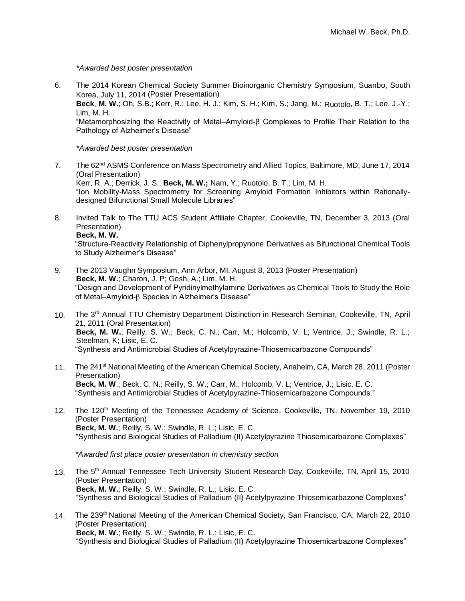#### *\*Awarded best poster presentation*

6. The 2014 Korean Chemical Society Summer Bioinorganic Chemistry Symposium, Suanbo, South Korea, July 11, 2014 (Poster Presentation)

**Beck**, **M. W.**; Oh, S.B.; Kerr, R.; Lee, H. J.; Kim, S. H.; Kim, S.; Jang, M.; Ruotolo, B. T.; Lee, J.-Y.; Lim, M. H.

"Metamorphosizing the Reactivity of Metal–Amyloid-β Complexes to Profile Their Relation to the Pathology of Alzheimer's Disease"

### *\*Awarded best poster presentation*

- 7. The 62<sup>nd</sup> ASMS Conference on Mass Spectrometry and Allied Topics, Baltimore, MD, June 17, 2014 (Oral Presentation) Kerr, R. A.; Derrick, J. S.; **Beck, M. W.;** Nam, Y.; Ruotolo, B. T.; Lim, M. H. "Ion Mobility-Mass Spectrometry for Screening Amyloid Formation Inhibitors within Rationallydesigned Bifunctional Small Molecule Libraries"
- 8. Invited Talk to The TTU ACS Student Affiliate Chapter, Cookeville, TN, December 3, 2013 (Oral Presentation)

**Beck, M. W.**

"Structure-Reactivity Relationship of Diphenylpropynone Derivatives as Bifunctional Chemical Tools to Study Alzheimer's Disease"

- 9. The 2013 Vaughn Symposium, Ann Arbor, MI, August 8, 2013 (Poster Presentation) **Beck, M. W.**; Charon, J. P; Gosh, A.; Lim, M. H. "Design and Development of Pyridinylmethylamine Derivatives as Chemical Tools to Study the Role of Metal–Amyloid-β Species in Alzheimer's Disease"
- 10. The 3<sup>rd</sup> Annual TTU Chemistry Department Distinction in Research Seminar, Cookeville, TN, April 21, 2011 (Oral Presentation) **Beck, M. W.**; Reilly, S. W.; Beck, C. N.; Carr, M.; Holcomb, V. L; Ventrice, J.; Swindle, R. L.; Steelman, K; Lisic, E. C. "Synthesis and Antimicrobial Studies of Acetylpyrazine-Thiosemicarbazone Compounds"
- 11. The 241<sup>st</sup> National Meeting of the American Chemical Society, Anaheim, CA, March 28, 2011 (Poster Presentation) **Beck, M. W**.; Beck, C. N.; Reilly, S. W.; Carr, M.; Holcomb, V. L; Ventrice, J.; Lisic, E. C. "Synthesis and Antimicrobial Studies of Acetylpyrazine-Thiosemicarbazone Compounds."
- 12. The 120<sup>th</sup> Meeting of the Tennessee Academy of Science, Cookeville, TN, November 19, 2010 (Poster Presentation) **Beck, M. W.**; Reilly, S. W.; Swindle, R. L.; Lisic, E. C. "Synthesis and Biological Studies of Palladium (II) Acetylpyrazine Thiosemicarbazone Complexes"

*\*Awarded first place poster presentation in chemistry section*

- 13. The 5<sup>th</sup> Annual Tennessee Tech University Student Research Day, Cookeville, TN, April 15, 2010 (Poster Presentation) **Beck, M. W.**; Reilly, S. W.; Swindle, R. L.; Lisic, E. C. "Synthesis and Biological Studies of Palladium (II) Acetylpyrazine Thiosemicarbazone Complexes"
- 14. The 239<sup>th</sup> National Meeting of the American Chemical Society, San Francisco, CA, March 22, 2010 (Poster Presentation) **Beck, M. W.**; Reilly, S. W.; Swindle, R. L.; Lisic, E. C. "Synthesis and Biological Studies of Palladium (II) Acetylpyrazine Thiosemicarbazone Complexes"